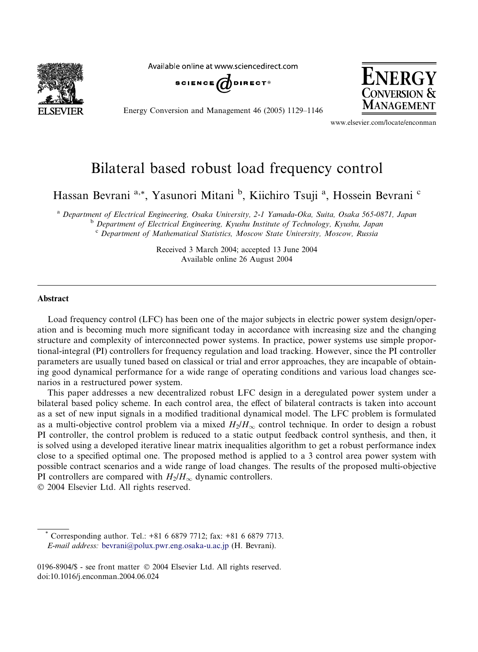

Available online at www.sciencedirect.com



Energy Conversion and Management 46 (2005) 1129–1146



www.elsevier.com/locate/enconman

## Bilateral based robust load frequency control

Hassan Bevrani<sup>a,\*</sup>, Yasunori Mitani <sup>b</sup>, Kiichiro Tsuji<sup>a</sup>, Hossein Bevrani<sup>c</sup>

<sup>a</sup> Department of Electrical Engineering, Osaka University, 2-1 Yamada-Oka, Suita, Osaka 565-0871, Japan<br><sup>b</sup> Department of Electrical Engineering, Kyushu Institute of Technology, Kyushu, Japan <sup>c</sup> Department of Mathematical Statistics, Moscow State University, Moscow, Russia

> Received 3 March 2004; accepted 13 June 2004 Available online 26 August 2004

## Abstract

Load frequency control (LFC) has been one of the major subjects in electric power system design/operation and is becoming much more significant today in accordance with increasing size and the changing structure and complexity of interconnected power systems. In practice, power systems use simple proportional-integral (PI) controllers for frequency regulation and load tracking. However, since the PI controller parameters are usually tuned based on classical or trial and error approaches, they are incapable of obtaining good dynamical performance for a wide range of operating conditions and various load changes scenarios in a restructured power system.

This paper addresses a new decentralized robust LFC design in a deregulated power system under a bilateral based policy scheme. In each control area, the effect of bilateral contracts is taken into account as a set of new input signals in a modified traditional dynamical model. The LFC problem is formulated as a multi-objective control problem via a mixed  $H_2/H_\infty$  control technique. In order to design a robust PI controller, the control problem is reduced to a static output feedback control synthesis, and then, it is solved using a developed iterative linear matrix inequalities algorithm to get a robust performance index close to a specified optimal one. The proposed method is applied to a 3 control area power system with possible contract scenarios and a wide range of load changes. The results of the proposed multi-objective PI controllers are compared with  $H_2/H_{\infty}$  dynamic controllers.

2004 Elsevier Ltd. All rights reserved.

Corresponding author. Tel.: +81 6 6879 7712; fax: +81 6 6879 7713. E-mail address: [bevrani@polux.pwr.eng.osaka-u.ac.jp](mailto:bevrani@polux.pwr.eng.osaka-u.ac.jp ) (H. Bevrani).

<sup>0196-8904/\$ -</sup> see front matter © 2004 Elsevier Ltd. All rights reserved. doi:10.1016/j.enconman.2004.06.024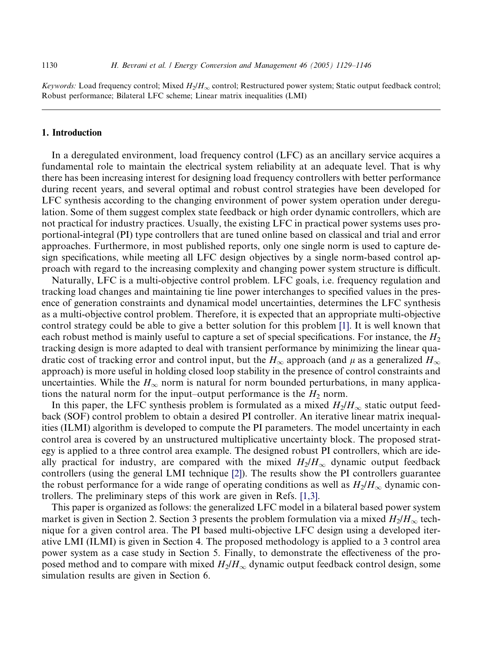Keywords: Load frequency control; Mixed  $H_2/H_\infty$  control; Restructured power system; Static output feedback control; Robust performance; Bilateral LFC scheme; Linear matrix inequalities (LMI)

## 1. Introduction

In a deregulated environment, load frequency control (LFC) as an ancillary service acquires a fundamental role to maintain the electrical system reliability at an adequate level. That is why there has been increasing interest for designing load frequency controllers with better performance during recent years, and several optimal and robust control strategies have been developed for LFC synthesis according to the changing environment of power system operation under deregulation. Some of them suggest complex state feedback or high order dynamic controllers, which are not practical for industry practices. Usually, the existing LFC in practical power systems uses proportional-integral (PI) type controllers that are tuned online based on classical and trial and error approaches. Furthermore, in most published reports, only one single norm is used to capture design specifications, while meeting all LFC design objectives by a single norm-based control approach with regard to the increasing complexity and changing power system structure is difficult.

Naturally, LFC is a multi-objective control problem. LFC goals, i.e. frequency regulation and tracking load changes and maintaining tie line power interchanges to specified values in the presence of generation constraints and dynamical model uncertainties, determines the LFC synthesis as a multi-objective control problem. Therefore, it is expected that an appropriate multi-objective control strategy could be able to give a better solution for this problem [\[1\].](#page--1-0) It is well known that each robust method is mainly useful to capture a set of special specifications. For instance, the  $H_2$ tracking design is more adapted to deal with transient performance by minimizing the linear quadratic cost of tracking error and control input, but the  $H_{\infty}$  approach (and  $\mu$  as a generalized  $H_{\infty}$ approach) is more useful in holding closed loop stability in the presence of control constraints and uncertainties. While the  $H_{\infty}$  norm is natural for norm bounded perturbations, in many applications the natural norm for the input–output performance is the  $H_2$  norm.

In this paper, the LFC synthesis problem is formulated as a mixed  $H_2/H_{\infty}$  static output feedback (SOF) control problem to obtain a desired PI controller. An iterative linear matrix inequalities (ILMI) algorithm is developed to compute the PI parameters. The model uncertainty in each control area is covered by an unstructured multiplicative uncertainty block. The proposed strategy is applied to a three control area example. The designed robust PI controllers, which are ideally practical for industry, are compared with the mixed  $H_2/H_{\infty}$  dynamic output feedback controllers (using the general LMI technique [\[2\]](#page--1-0)). The results show the PI controllers guarantee the robust performance for a wide range of operating conditions as well as  $H_2/H_{\infty}$  dynamic controllers. The preliminary steps of this work are given in Refs. [\[1,3\].](#page--1-0)

This paper is organized as follows: the generalized LFC model in a bilateral based power system market is given in Section 2. Section 3 presents the problem formulation via a mixed  $H_2/H_{\infty}$  technique for a given control area. The PI based multi-objective LFC design using a developed iterative LMI (ILMI) is given in Section 4. The proposed methodology is applied to a 3 control area power system as a case study in Section 5. Finally, to demonstrate the effectiveness of the proposed method and to compare with mixed  $H_2/H_{\infty}$  dynamic output feedback control design, some simulation results are given in Section 6.